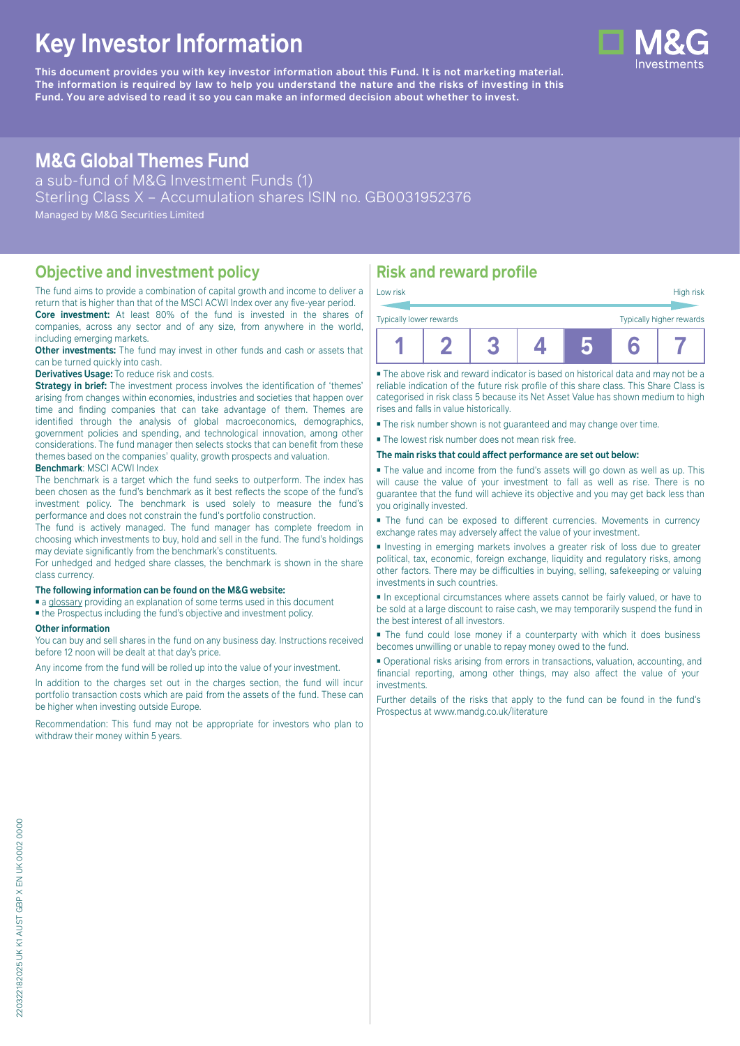# **Key Investor Information**

**This document provides you with key investor information about this Fund. It is not marketing material.** The information is required by law to help you understand the nature and the risks of investing in this **Fund. You are advised to read it so you can make an informed decision about whether to invest.**

# **M&G Global Themes Fund**

a sub-fund of M&G Investment Funds (1) Sterling Class X – Accumulation shares ISIN no. GB0031952376 Managed by M&G Securities Limited

### **Objective and investment policy**

The fund aims to provide a combination of capital growth and income to deliver a return that is higher than that of the MSCI ACWI Index over any five-year period. **Core investment:** At least 80% of the fund is invested in the shares of

companies, across any sector and of any size, from anywhere in the world, including emerging markets. **Other investments:** The fund may invest in other funds and cash or assets that

can be turned quickly into cash.

**Derivatives Usage:** To reduce risk and costs.

**Strategy in brief:** The investment process involves the identification of 'themes' arising from changes within economies, industries and societies that happen over time and finding companies that can take advantage of them. Themes are identified through the analysis of global macroeconomics, demographics, government policies and spending, and technological innovation, among other considerations. The fund manager then selects stocks that can benefit from these themes based on the companies' quality, growth prospects and valuation. **Benchmark**: MSCI ACWI Index

The benchmark is a target which the fund seeks to outperform. The index has been chosen as the fund's benchmark as it best reflects the scope of the fund's investment policy. The benchmark is used solely to measure the fund's performance and does not constrain the fund's portfolio construction.

The fund is actively managed. The fund manager has complete freedom in choosing which investments to buy, hold and sell in the fund. The fund's holdings may deviate significantly from the benchmark's constituents.

For unhedged and hedged share classes, the benchmark is shown in the share class currency.

#### **The following information can be found on the M&G website:**

■ [a glossary](https://docs.mandg.com/docs/glossary-master-en.pdf) providing an explanation of some terms used in this document

■ the Prospectus including the fund's objective and investment policy.

#### **Other information**

You can buy and sell shares in the fund on any business day. Instructions received before 12 noon will be dealt at that day's price.

Any income from the fund will be rolled up into the value of your investment.

In addition to the charges set out in the charges section, the fund will incur portfolio transaction costs which are paid from the assets of the fund. These can be higher when investing outside Europe.

Recommendation: This fund may not be appropriate for investors who plan to withdraw their money within 5 years.

# **Risk and reward profile**

| Low risk                                            |  |  |  |  |  | High risk |
|-----------------------------------------------------|--|--|--|--|--|-----------|
| Typically higher rewards<br>Typically lower rewards |  |  |  |  |  |           |
|                                                     |  |  |  |  |  |           |

■ The above risk and reward indicator is based on historical data and may not be a reliable indication of the future risk profile of this share class. This Share Class is categorised in risk class 5 because its Net Asset Value has shown medium to high rises and falls in value historically.

■ The risk number shown is not guaranteed and may change over time.

■ The lowest risk number does not mean risk free.

**The main risks that could affect performance are set out below:**

■ The value and income from the fund's assets will go down as well as up. This will cause the value of your investment to fall as well as rise. There is no guarantee that the fund will achieve its objective and you may get back less than you originally invested.

■ The fund can be exposed to different currencies. Movements in currency exchange rates may adversely affect the value of your investment.

■ Investing in emerging markets involves a greater risk of loss due to greater political, tax, economic, foreign exchange, liquidity and regulatory risks, among other factors. There may be difficulties in buying, selling, safekeeping or valuing investments in such countries.

■ In exceptional circumstances where assets cannot be fairly valued, or have to be sold at a large discount to raise cash, we may temporarily suspend the fund in the best interest of all investors.

■ The fund could lose money if a counterparty with which it does business becomes unwilling or unable to repay money owed to the fund.

■ Operational risks arising from errors in transactions, valuation, accounting, and financial reporting, among other things, may also affect the value of your investments.

Further details of the risks that apply to the fund can be found in the fund's Prospectus at [www.mandg.co.uk/literature](http://www.mandg.co.uk/literature)